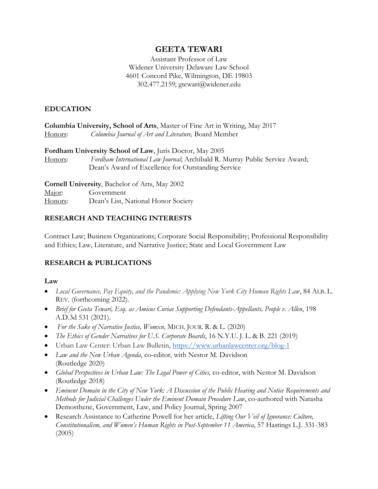# **GEETA TEWARI**

Assistant Professor of Law Widener University Delaware Law School 4601 Concord Pike, Wilmington, DE 19803 302.477.2159; gtewari@widener.edu

### **EDUCATION**

|                | <b>Columbia University, School of Arts, Master of Fine Art in Writing, May 2017</b> |
|----------------|-------------------------------------------------------------------------------------|
| <u>Honors:</u> | Columbia Journal of Art and Literature, Board Member                                |
|                | <b>Fordham University School of Law</b> , Juris Doctor, May 2005                    |
| <u>Honors:</u> | Fordham International Law Journal; Archibald R. Murray Public Service Award;        |
|                | Dean's Award of Excellence for Outstanding Service                                  |
|                | <b>Cornell University, Bachelor of Arts, May 2002</b>                               |
| Major:         | Government                                                                          |

Honors: Dean's List, National Honor Society

## **RESEARCH AND TEACHING INTERESTS**

Contract Law; Business Organizations; Corporate Social Responsibility; Professional Responsibility and Ethics; Law, Literature, and Narrative Justice; State and Local Government Law

## **RESEARCH & PUBLICATIONS**

#### **Law**

- *Local Governance, Pay Equity, and the Pandemic: Applying New York City Human Rights Law*, 84 ALB. L. REV. (forthcoming 2022).
- *Brief for Geeta Tewari, Esq. as Amicus Curiae Supporting Defendants-Appellants, People v. Allen*, 198 A.D.3d 531 (2021).
- *For the Sake of Narrative Justice, Womxn,* MICH. JOUR. R. & L. (2020)
- *The Ethics of Gender Narratives for U.S. Corporate Boards*, 16 N.Y.U. J. L. & B. 221 (2019)
- Urban Law Center: Urban Law Bulletin, <https://www.urbanlawcenter.org/blog-1>
- *Law and the New Urban Agenda*, co-editor, with Nestor M. Davidson (Routledge 2020)
- *Global Perspectives in Urban Law: The Legal Power of Cities,* co-editor, with Nestor M. Davidson (Routledge 2018)
- *Eminent Domain in the City of New York: A Discussion of the Public Hearing and Notice Requirements and Methods for Judicial Challenges Under the Eminent Domain Procedure Law*, co-authored with Natasha Demosthene, Government, Law, and Policy Journal, Spring 2007
- Research Assistance to Catherine Powell for her article, *Lifting Our Veil of Ignorance: Culture, Constitutionalism, and Women's Human Rights in Post-September 11 America*, 57 Hastings L.J. 331-383 (2005)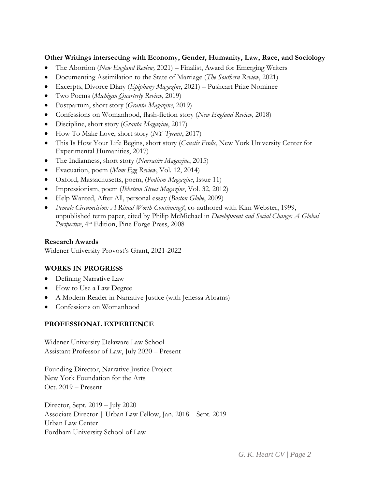## **Other Writings intersecting with Economy, Gender, Humanity, Law, Race, and Sociology**

- The Abortion (*New England Review,* 2021) Finalist, Award for Emerging Writers
- Documenting Assimilation to the State of Marriage (*The Southern Review*, 2021)
- Excerpts, Divorce Diary (*Epiphany Magazine*, 2021) Pushcart Prize Nominee
- Two Poems (*Michigan Quarterly Review*, 2019)
- Postpartum, short story (*Granta Magazine*, 2019)
- Confessions on Womanhood, flash-fiction story (*New England Review,* 2018)
- Discipline, short story (*Granta Magazine*, 2017)
- How To Make Love, short story (*NY Tyrant*, 2017)
- This Is How Your Life Begins, short story (*Caustic Frolic*, New York University Center for Experimental Humanities, 2017)
- The Indianness, short story (*Narrative Magazine*, 2015)
- Evacuation, poem (*Mom Egg Review*, Vol. 12, 2014)
- Oxford, Massachusetts, poem, (*Podium Magazine*, Issue 11)
- Impressionism, poem (*Ibbetson Street Magazine*, Vol. 32, 2012)
- Help Wanted, After All, personal essay (*Boston Globe*, 2009)
- *Female Circumcision: A Ritual Worth Continuing?*, co-authored with Kim Webster, 1999, unpublished term paper, cited by Philip McMichael in *Development and Social Change: A Global*  Perspective, 4<sup>th</sup> Edition, Pine Forge Press, 2008

### **Research Awards**

Widener University Provost's Grant, 2021-2022

## **WORKS IN PROGRESS**

- Defining Narrative Law
- How to Use a Law Degree
- A Modern Reader in Narrative Justice (with Jenessa Abrams)
- Confessions on Womanhood

#### **PROFESSIONAL EXPERIENCE**

Widener University Delaware Law School Assistant Professor of Law, July 2020 – Present

Founding Director, Narrative Justice Project New York Foundation for the Arts Oct. 2019 – Present

Director, Sept. 2019 – July 2020 Associate Director | Urban Law Fellow, Jan. 2018 – Sept. 2019 Urban Law Center Fordham University School of Law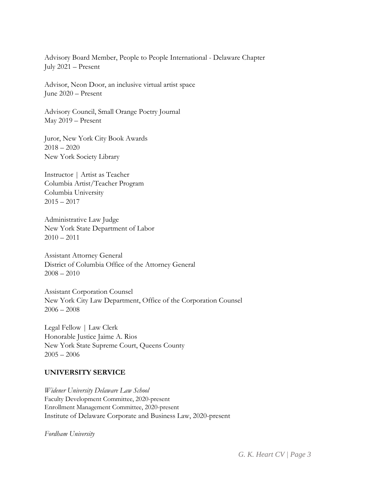Advisory Board Member, People to People International - Delaware Chapter July 2021 – Present

Advisor, Neon Door, an inclusive virtual artist space June 2020 – Present

Advisory Council, Small Orange Poetry Journal May 2019 – Present

Juror, New York City Book Awards  $2018 - 2020$ New York Society Library

Instructor | Artist as Teacher Columbia Artist/Teacher Program Columbia University  $2015 - 2017$ 

Administrative Law Judge New York State Department of Labor  $2010 - 2011$ 

Assistant Attorney General District of Columbia Office of the Attorney General  $2008 - 2010$ 

Assistant Corporation Counsel New York City Law Department, Office of the Corporation Counsel  $2006 - 2008$ 

Legal Fellow | Law Clerk Honorable Justice Jaime A. Rios New York State Supreme Court, Queens County  $2005 - 2006$ 

#### **UNIVERSITY SERVICE**

*Widener University Delaware Law School* Faculty Development Committee, 2020-present Enrollment Management Committee, 2020-present Institute of Delaware Corporate and Business Law, 2020-present

*Fordham University*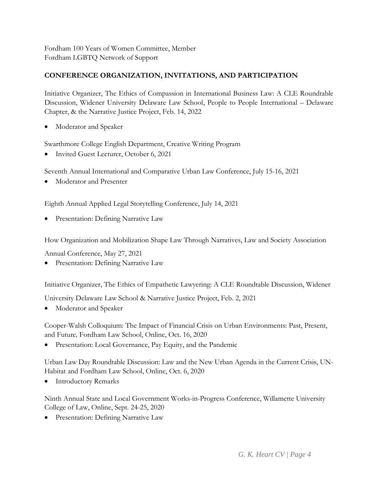Fordham 100 Years of Women Committee, Member Fordham LGBTQ Network of Support

# **CONFERENCE ORGANIZATION, INVITATIONS, AND PARTICIPATION**

Initiative Organizer, The Ethics of Compassion in International Business Law: A CLE Roundtable Discussion, Widener University Delaware Law School, People to People International – Delaware Chapter, & the Narrative Justice Project, Feb. 14, 2022

Moderator and Speaker

Swarthmore College English Department, Creative Writing Program

Invited Guest Lecturer, October 6, 2021

Seventh Annual International and Comparative Urban Law Conference, July 15-16, 2021

Moderator and Presenter

Eighth Annual Applied Legal Storytelling Conference, July 14, 2021

**•** Presentation: Defining Narrative Law

How Organization and Mobilization Shape Law Through Narratives, Law and Society Association

Annual Conference, May 27, 2021

Presentation: Defining Narrative Law

Initiative Organizer, The Ethics of Empathetic Lawyering: A CLE Roundtable Discussion, Widener

University Delaware Law School & Narrative Justice Project, Feb. 2, 2021

Moderator and Speaker

Cooper-Walsh Colloquium: The Impact of Financial Crisis on Urban Environments: Past, Present, and Future*,* Fordham Law School, Online, Oct. 16, 2020

Presentation: Local Governance, Pay Equity, and the Pandemic

Urban Law Day Roundtable Discussion: Law and the New Urban Agenda in the Current Crisis, UN-Habitat and Fordham Law School, Online, Oct. 6, 2020

• Introductory Remarks

Ninth Annual State and Local Government Works-in-Progress Conference, Willamette University College of Law, Online, Sept. 24-25, 2020

Presentation: Defining Narrative Law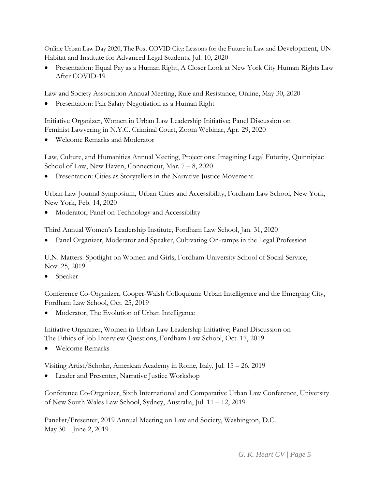Online Urban Law Day 2020, The Post COVID City: Lessons for the Future in Law and Development, UN-Habitat and Institute for Advanced Legal Students, Jul. 10, 2020

 Presentation: Equal Pay as a Human Right, A Closer Look at New York City Human Rights Law After COVID-19

Law and Society Association Annual Meeting, Rule and Resistance, Online, May 30, 2020

Presentation: Fair Salary Negotiation as a Human Right

Initiative Organizer, Women in Urban Law Leadership Initiative; Panel Discussion on Feminist Lawyering in N.Y.C. Criminal Court, Zoom Webinar, Apr. 29, 2020

Welcome Remarks and Moderator

Law, Culture, and Humanities Annual Meeting, Projections: Imagining Legal Futurity, Quinnipiac School of Law, New Haven, Connecticut, Mar. 7 – 8, 2020

Presentation: Cities as Storytellers in the Narrative Justice Movement

Urban Law Journal Symposium, Urban Cities and Accessibility, Fordham Law School, New York, New York, Feb. 14, 2020

Moderator, Panel on Technology and Accessibility

Third Annual Women's Leadership Institute, Fordham Law School, Jan. 31, 2020

• Panel Organizer, Moderator and Speaker, Cultivating On-ramps in the Legal Profession

U.N. Matters: Spotlight on Women and Girls, Fordham University School of Social Service, Nov. 25, 2019

Speaker

Conference Co-Organizer, Cooper-Walsh Colloquium: Urban Intelligence and the Emerging City, Fordham Law School, Oct. 25, 2019

Moderator, The Evolution of Urban Intelligence

Initiative Organizer, Women in Urban Law Leadership Initiative; Panel Discussion on The Ethics of Job Interview Questions, Fordham Law School, Oct. 17, 2019

Welcome Remarks

Visiting Artist/Scholar, American Academy in Rome, Italy, Jul. 15 – 26, 2019

Leader and Presenter, Narrative Justice Workshop

Conference Co-Organizer, Sixth International and Comparative Urban Law Conference, University of New South Wales Law School, Sydney, Australia, Jul. 11 – 12, 2019

Panelist/Presenter, 2019 Annual Meeting on Law and Society, Washington, D.C. May 30 – June 2, 2019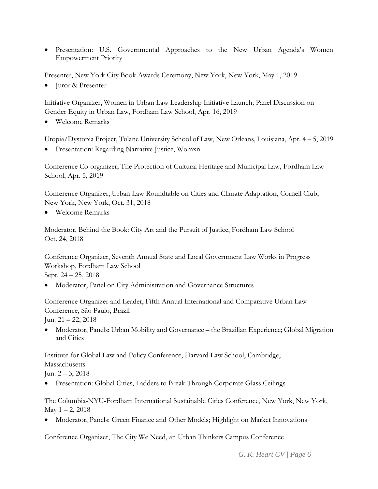Presentation: U.S. Governmental Approaches to the New Urban Agenda's Women Empowerment Priority

Presenter, New York City Book Awards Ceremony, New York, New York, May 1, 2019

• Juror & Presenter

Initiative Organizer, Women in Urban Law Leadership Initiative Launch; Panel Discussion on Gender Equity in Urban Law, Fordham Law School, Apr. 16, 2019

Welcome Remarks

Utopia/Dystopia Project, Tulane University School of Law, New Orleans, Louisiana, Apr. 4 – 5, 2019

Presentation: Regarding Narrative Justice, Womxn

Conference Co-organizer, The Protection of Cultural Heritage and Municipal Law, Fordham Law School, Apr. 5, 2019

Conference Organizer, Urban Law Roundtable on Cities and Climate Adaptation, Cornell Club, New York, New York, Oct. 31, 2018

Welcome Remarks

Moderator, Behind the Book: City Art and the Pursuit of Justice, Fordham Law School Oct. 24, 2018

Conference Organizer, Seventh Annual State and Local Government Law Works in Progress Workshop, Fordham Law School Sept. 24 – 25, 2018

Moderator, Panel on City Administration and Governance Structures

Conference Organizer and Leader, Fifth Annual International and Comparative Urban Law Conference, São Paulo, Brazil Jun. 21 – 22, 2018

 Moderator, Panels: Urban Mobility and Governance – the Brazilian Experience; Global Migration and Cities

Institute for Global Law and Policy Conference, Harvard Law School, Cambridge, Massachusetts

Jun.  $2 - 3$ , 2018

Presentation: Global Cities, Ladders to Break Through Corporate Glass Ceilings

The Columbia-NYU-Fordham International Sustainable Cities Conference, New York, New York, May  $1 - 2$ , 2018

Moderator, Panels: Green Finance and Other Models; Highlight on Market Innovations

Conference Organizer, The City We Need, an Urban Thinkers Campus Conference